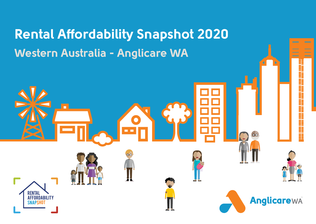# Rental Affordability Snapshot 2020 Western Australia - Anglicare WA П Rental Anglicarewa Affordability Snapshot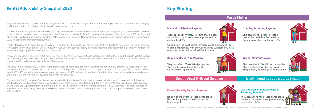Anglicare WA conducts the Rental Affordability Snapshot each year to develop a better understanding of how our rental market is changing and the implications for Western Australians living on low incomes.

The Rental Affordability Snapshot was taken just days before the Australian Government announced a temporary, 6 month increase to some government income payments, in response to the Coronavirus pandemic. This 'Coronavirus Supplement' of an additional \$550 per fortnight will be paid to all new and existing recipients of the JobSeeker (formerly Newstart), Youth Allowance, and Parenting Payments from 27 April 2020, in addition to their normal payments.

The 2020 Rental Affordability Snapshot highlights the lack of affordable options for low income households, particularly those that rely on Government benefits. They continue to be priced out of the private rental market across the State. Since last year, median rents increased from \$350-\$370 in the Perth metro area, remained steady at \$330 in the South West and Great Southern, and increased dramatically from \$400 to \$470 in the North West including the Kimberley and Pilbara.

This Rental Affordability Snapshot contains two sets of findings: it shows the number of affordable and suitable homes for rent for people on low incomes on the weekend of 21 March 2020. It then uses the same property listings to measure affordability for the same WA households if the temporary supplements were made permanent.

This year's Snapshot is based on 7,256 private rentals in the Perth metro area, South West and Great Southern, and the North West including the Kimberley and Pilbara. A property was considered affordable if it required less than 30% of a household's income, and it was considered appropriate if it had an adequate number of bedrooms.

The impact of the Coronavirus Supplement on affordability for different family types is uneven, with households in receipt of JobSeeker, Youth Allowance or Parenting Payments experiencing greater rates of affordability with the new payments. However, households that rely on the Disability Support Pension and Age Pension will be left behind since they are not eligible for the Supplement. The slight increase in affordability for those on Age Pension and DSP are from an increase of \$11 per fortnight on 20 March 2020 as part of a bi-annual increase linked to CPI.



# Rental Affordability Snapshot 2020

#### Claudia, Parenting Payment

**She can afford 12 (**0%**) of listed properties. With the Coronavirus Supplement she could afford** 5%**.**



#### Michael, JobSeeker Payment

**There is 1 property (**0%**) in Perth that he can afford. With the Coronavirus Supplement he could afford** 1%**.** 

**Couples on the JobSeeker Payment could only afford** 1% **of listed properties. With the Coronavirus Supplement,** 30% **of properties would be affordable to them.** 

#### Grace, Minimum Wage

**She can afford** 11% **of listed properties. She is ineligible for the Coronavirus Supplement, no change in affordability.**



#### South West & Great Southern North West (including Kimberley & Pilbara)

#### Ruby and Bruce, Age Pension

**They can afford** 3% **of listed properties. The couple are not eligible for the Coronavirus Supplement.**

#### Perth Metro

#### Kevin, Disability Support Pension

**He can afford 1 (**0%**) of listed properties. He is not eligible for the Coronavirus Supplement.**



#### Lisa and Ben, Minimum Wage & Parenting Payment

**They can afford** 7% **of listed properties. With the Coronavirus Supplement they could afford** 12%**.**



# Key Findings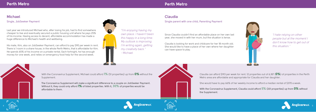

### **Michael**

Single, JobSeeker Payment

With the Coronavirus Supplement, Michael could afford 1% (51 properties) up from 0% without the Supplement.

**The Coronavirus Supplement will make a significant difference to a couple on JobSeeker Payment. Without it, they could only afford** 1% **of listed properties. With it,** 30% **of properties would be affordable to them.**



"I'm enjoying having my own place. I haven't been this happy in a long time. My outlook is improving. I'm writing again, getting my creativity back." - Michael

Last year we introduced Michael who, after losing his job, had to find somewhere cheaper to live and eventually secured a public housing unit where he pays 25% of his income. Having access to decent, affordable accommodation has made a huge difference to Michael's health and wellbeing.

> Claudia can afford \$193 per week for rent. 12 properties out of 6,187 ( $\mathbf{0\%}$ ) of properties in the Perth Metro area are affordable and appropriate for Claudia and her daughter.

His mate, Kim, also on JobSeeker Payment, can afford to pay \$90 per week in rent. There is 1 room in a share house, in the whole Perth Metro, that is affordable for Kim. He spends 65% of his income on a private rental. Each fortnight, he has enough money for one week, and relies on emergency food help for the second week.



# **Claudia**

Single parent with one child, Parenting Payment

She would have to pay 66% of her weekly income to afford a median rental of \$370 a week.

**With the Coronavirus Supplement, Claudia could afford** 5% **(331 properties) up from** 0% **without the Supplement.** 





"I hate relying on other people but at the moment I don't know how to get out of this situation."



Since Claudia couldn't find an affordable place on her own last year, she moved in with her mum, but the situation is tense.

Claudia is looking for work and childcare for her 18 month old. She would like to have a place of her own where her daughter can have space to play.



# Perth Metro Perth Metro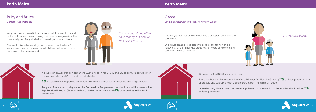

# **Ruby and Bruce**

Couple, Age Pension

A couple on an Age Pension can afford \$227 a week in rent. Ruby and Bruce pay \$173 per week for the caravan site plus \$70 a month for electricity.

**3%** of listed rental properties in the Perth Metro are affordable for a couple on an Age Pension.

**Ruby and Bruce are not eligible for the Coronavirus Supplement, but due to a small increase in the Age Pension linked to CPI as of 20 March 2020, they could afford** 4% **of properties in the Perth metro area.**



| "We cut everything off to |
|---------------------------|
| save money, but now we    |
| feel disconnected."       |

| Thi: |  |  |
|------|--|--|
| car  |  |  |

There has been an improvement in affordability for families like Grace's; **11%** of listed properties are affordable and appropriate for a single parent earning minimum wage.

Ruby and Bruce moved into a caravan park this year to try and make ends meet. They are doing their best to integrate into the community and Ruby started volunteering at a local library.

She would like to be working, but it makes it hard to look for work when you don't have a car, which they had to sell to afford the move to the caravan park.



#### **Grace**

#### Single parent with two kids, Minimum Wage

is year, Grace was able to move into a cheaper rental that she  $\blacksquare$  . This was moved in the first. This was able to move into a cheaper rental that she an afford.

Grace can afford \$303 per week in rent.

**Grace isn't eligible for the Coronavirus Supplement so she would continue to be able to afford** 11% **of listed properties.**





She would still like to be closer to school, but for now she is happy that she and her kids are safe after years of violence and conflict with her ex-partner.



# Perth Metro Perth Metro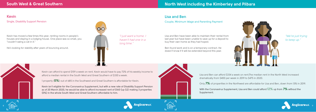

# **Kevin**

Single, Disability Support Pension

Kevin can afford to spend \$159 a week on rent. Kevin would have to pay 72% of his weekly income to afford a median rental in the South West and Great Southern of \$330 a week.

1 property ( $\sim$ ) out of 685 in the Southwest and Great Southern is affordable for Kevin.

**Kevin isn't eligible for the Coronavirus Supplement, but with a new rate of Disability Support Pension as of 20 March 2020, he would be able to afford increased rent of \$160 (up \$2) making 3 properties (0%) in the whole South West and Great Southern affordable to him.**



"I just want a home. I haven't had one in a long time."



Kevin has moved a few times this year, renting rooms in people's houses and staying in a lodging house. One place was so small, you "couldn't swing a cat in it."

He's looking for stability after years of bouncing around.



Lisa and Ben can afford \$334 a week on rent.The median rent in the North West increased dramatically from \$400 per week in 2019 to \$475 in 2020.

Only 7% of properities in the Northwest are affordable for Lisa and Ben, down from 13% in 2019.

**With the Coronavirus Supplement, Lisa and Ben could afford** 12% **up from** 7% **without the Supplement.**



### **Lisa and Ben**

Couple, Minimum Wage and Parenting Payment

"We're just trying to keep up."

Lisa and Ben have been able to maintain their rental from last year but have been unable to save up for a deposit to buy their own home as they had hoped.

Ben found work and is on a temporary contract. He doesn't know if it will be extended beyond this year.



# South West & Great Southern North West including the Kimberley and Pilbara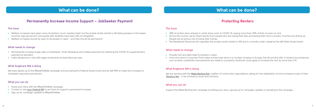### Permanently Increase Income Support – JobSeeker Payment

| The issue                                                                                                                                                                                                                                                                                                            | <b>The</b>                                                |
|----------------------------------------------------------------------------------------------------------------------------------------------------------------------------------------------------------------------------------------------------------------------------------------------------------------------|-----------------------------------------------------------|
| Welfare increases have given many Australians much needed relief, but the private rental market is still failing people on the lowest<br>incomes. Age pensioners and people with disability have been left out altogether.<br>Welfare increases should be open to all people in need – and they should be permanent. | $\bullet$ 2<br>$\bullet$ A<br>$\mathsf{P}$<br>$\bullet$ T |
| What needs to change                                                                                                                                                                                                                                                                                                 |                                                           |
| Permanently increase single rates of JobSeeker, Youth Allowance and related payments by retaining the COVID-19 supplementary                                                                                                                                                                                         | Wha                                                       |
| payment as standard.                                                                                                                                                                                                                                                                                                 | $\bullet$ P                                               |
| Index allowances in line with wage movements at least twice per year.                                                                                                                                                                                                                                                | $\bullet$ L<br>$\mathsf{S}$                               |
| <b>What Anglicare WA is doing</b>                                                                                                                                                                                                                                                                                    |                                                           |
| We have signed up to the #RaiseTheRate campaign and are asking the Federal Government and all WA MPs to make the increases to                                                                                                                                                                                        | Wha                                                       |
| JobSeeker payments permanent.                                                                                                                                                                                                                                                                                        | We a                                                      |
|                                                                                                                                                                                                                                                                                                                      | 'Tena                                                     |
| What you can do                                                                                                                                                                                                                                                                                                      |                                                           |
| Share your story with the #RaiseTheRate campaign.                                                                                                                                                                                                                                                                    | Wha                                                       |
| Contact or visit your Federal MP to ask them to support a permanent increase.                                                                                                                                                                                                                                        | Supp                                                      |
| Sign up for campaign updates to #RaiseTheRate.                                                                                                                                                                                                                                                                       |                                                           |

# What can be done?

# Protecting Renters

#### **The issue**

- 28% of renters were already in rental stress prior to COVID-19, paying more than 30% of their income on rent.
- Across the country, we've heard stories from people who are losing their jobs and seeing their hours cut back. Incomes are drying up. People are at serious risk of losing their homes.
- The Residential Tenancies Act regulates the private rental market in WA and is currently under review by the WA State Government.

#### **What needs to change**

- Provide rent and debt relief to tenants in need.
- Limit rent rises to Consumer Price Index as they have done in a number of places in Europe, the UK and the USA. In limited circumstances, such as when substantial improvements are made to a property, landlords could apply to increase the rent by more than CPI.

#### **What Anglicare WA is doing**

are working with the [Make Renting Fair](https://www.makerentingfairwa.org.au/) coalition of community organisations calling for the stabilisation of rent increases as part of their ancy Ten' - a list of tenancy issues and solutions.

#### **What you can do**

port the Make Renting Fair campaign by telling your story, signing up for campaign updates or donating to the campaign.

# What can be done?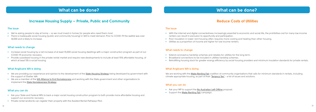### Increase Housing Supply – Private, Public and Community

| The issue                                                                                                                                                                                                                            | The       |
|--------------------------------------------------------------------------------------------------------------------------------------------------------------------------------------------------------------------------------------|-----------|
| We're asking people to stay at home $-$ so we must invest in homes for people who need them most.<br>There is inadequate social housing (public and community housing) in WA to meet demand. Prior to COVID-19 the waitlist was over |           |
| 14,000 and is likely to increase.                                                                                                                                                                                                    |           |
| What needs to change                                                                                                                                                                                                                 |           |
| Increase social housing by a net increase of at least 15,000 social housing dwellings with a major construction program as part of our                                                                                               | Wh        |
| COVID-19 economic recovery.<br>Provide subsidised housing in the private rental market and require new developments to include at least 15% affordable housing, of                                                                   |           |
| which at least 5% is social housing.                                                                                                                                                                                                 |           |
| <b>What Anglicare WA is doing</b>                                                                                                                                                                                                    | Wh        |
| We are providing our experience and opinion to the development of the <b>State Housing Strategy</b> being developed by government with                                                                                               | We        |
| the support of Shelter WA.<br>We are a member of the WA Alliance to End Homelessness and working with the State government and other organisations to<br>implement the <b>State Homelessness Strategy</b> .                          | clin      |
|                                                                                                                                                                                                                                      | Wh        |
| What you can do                                                                                                                                                                                                                      | $\bullet$ |

the working with the <u>Make Renting Fair</u> coalition of community organisations that calls for minimum standards in rentals, including climate appropriate housing, as part of their **['Tenancy Ten'](https://www.makerentingfairwa.org.au/the-tenancy-ten/)** - a list of issues and solutions.

- Ask your State and Federal MPs to back a major social housing construction program to both provide more affordable housing and support our economic recovery.
- Private rental landlords can register their property with the Assisted Rental Pathways Pilot.

# What can be done?

# Reduce Costs of Utilities

#### **The issue**

• With the internet and digital connectedness increasingly essential to economic and social life, the prohibitive cost for many low income renters can result in exclusion to opportunity and participation.

• Poor insulation in lower rent housing often requires more cooling and heating than other housing.

• Utilities as a proportion of income are higher for low income renters.

#### **What needs to change**

- Extend coronavirus hardship schemes and rebates for utilities for the long term.
- Broadband connections to be included in utilities hardship schemes.
- Retrofitting housing stock for greater energy efficiency by social housing providers and minimum insulation standards for private rentals.

#### **What Anglicare WA is doing**

#### **What you can do**

• Ask your MP to support the **[No Australian Left Offline](http://accan.org.au/no-australian-left-offline)** proposal. • Support the **Make Renting Fair** campaign.

# What can be done?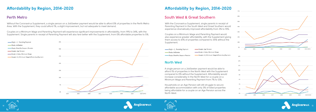



# Affordability by Region, 2014-2020

### **Perth Metro**

Without the Coronavirus Supplement, a single person on a JobSeeker payment would be able to afford 0% of properties in the Perth Metro Area. With the Supplement, they could afford 1%, a slight improvement, but not adequate to meet demand.

Couples on a Minimum Wage and Parenting Payment will experience significant improvements in affordability, from 19% to 34%, with the Supplement. Single parents in receipt of Parenting Payment will also fare better with the Supplement, from 0% affordable properties to 5%.



Single +1, Parenting Payment Couple, Age Pension Single + 2 kids. Minimum Wage Single, JobSeeker Couple + 2, Minimum Wage & Parenting Payment Single, Disability Support Pension

# Affordability by Region, 2014-2020

With the Coronavirus Supplement, single parents in receipt of Parenting Payment in the South West and Great Southern would experience dramatically improved affordability from 3% to 15%.

Couples on a Minimum Wage and Parenting Payment would also experience greater affordability, with the Supplement giving them access to 61% of properties compared to 35% without the Supplement.

### **South West & Great Southern**

### **North West**

A single person on a JobSeeker payment would be able to afford 1% of properties in the North West with the Supplement compared to 0% without the Supplement. Affordability would increase considerably in the North West for a couple on a Minimum Wage and Parenting Payment from 7% to 12%.



Households on an Age Pension will still struggle to secure affordable accommodation with only 3% of listed properties being affordable for a couple on an Age Pension across the North West.